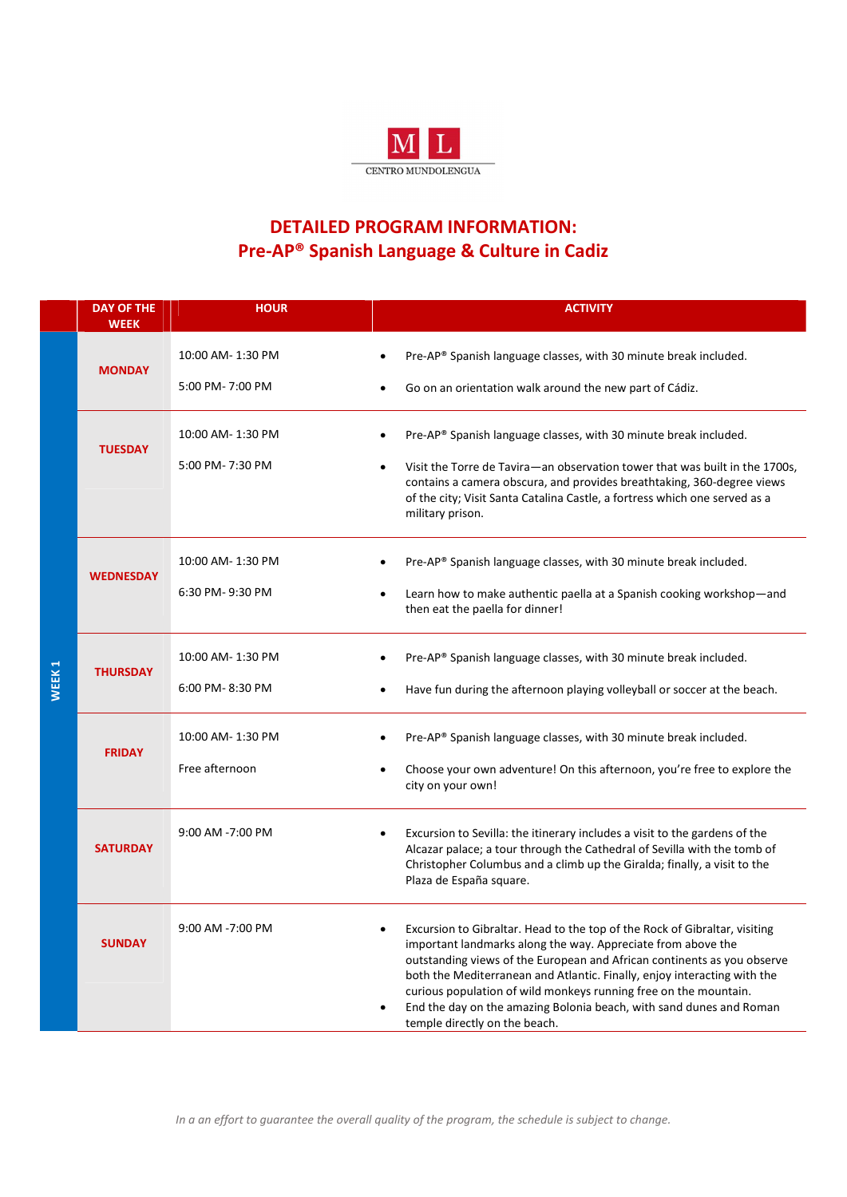

## DETAILED PROGRAM INFORMATION: Pre-AP® Spanish Language & Culture in Cadiz

|                   | <b>DAY OF THE</b><br><b>WEEK</b> | <b>HOUR</b>                          | <b>ACTIVITY</b>                                                                                                                                                                                                                                                                                                                                                                                                                                                               |
|-------------------|----------------------------------|--------------------------------------|-------------------------------------------------------------------------------------------------------------------------------------------------------------------------------------------------------------------------------------------------------------------------------------------------------------------------------------------------------------------------------------------------------------------------------------------------------------------------------|
| WEEK <sub>1</sub> | <b>MONDAY</b>                    | 10:00 AM-1:30 PM<br>5:00 PM-7:00 PM  | Pre-AP® Spanish language classes, with 30 minute break included.<br>Go on an orientation walk around the new part of Cádiz.                                                                                                                                                                                                                                                                                                                                                   |
|                   | <b>TUESDAY</b>                   | 10:00 AM-1:30 PM<br>5:00 PM-7:30 PM  | Pre-AP® Spanish language classes, with 30 minute break included.<br>Visit the Torre de Tavira—an observation tower that was built in the 1700s,<br>contains a camera obscura, and provides breathtaking, 360-degree views<br>of the city; Visit Santa Catalina Castle, a fortress which one served as a<br>military prison.                                                                                                                                                   |
|                   | <b>WEDNESDAY</b>                 | 10:00 AM- 1:30 PM<br>6:30 PM-9:30 PM | Pre-AP® Spanish language classes, with 30 minute break included.<br>Learn how to make authentic paella at a Spanish cooking workshop-and<br>then eat the paella for dinner!                                                                                                                                                                                                                                                                                                   |
|                   | <b>THURSDAY</b>                  | 10:00 AM-1:30 PM<br>6:00 PM-8:30 PM  | Pre-AP® Spanish language classes, with 30 minute break included.<br>Have fun during the afternoon playing volleyball or soccer at the beach.                                                                                                                                                                                                                                                                                                                                  |
|                   | <b>FRIDAY</b>                    | 10:00 AM-1:30 PM<br>Free afternoon   | Pre-AP® Spanish language classes, with 30 minute break included.<br>$\bullet$<br>Choose your own adventure! On this afternoon, you're free to explore the<br>city on your own!                                                                                                                                                                                                                                                                                                |
|                   | <b>SATURDAY</b>                  | 9:00 AM -7:00 PM                     | Excursion to Sevilla: the itinerary includes a visit to the gardens of the<br>Alcazar palace; a tour through the Cathedral of Sevilla with the tomb of<br>Christopher Columbus and a climb up the Giralda; finally, a visit to the<br>Plaza de España square.                                                                                                                                                                                                                 |
|                   | <b>SUNDAY</b>                    | 9:00 AM -7:00 PM                     | Excursion to Gibraltar. Head to the top of the Rock of Gibraltar, visiting<br>important landmarks along the way. Appreciate from above the<br>outstanding views of the European and African continents as you observe<br>both the Mediterranean and Atlantic. Finally, enjoy interacting with the<br>curious population of wild monkeys running free on the mountain.<br>End the day on the amazing Bolonia beach, with sand dunes and Roman<br>temple directly on the beach. |